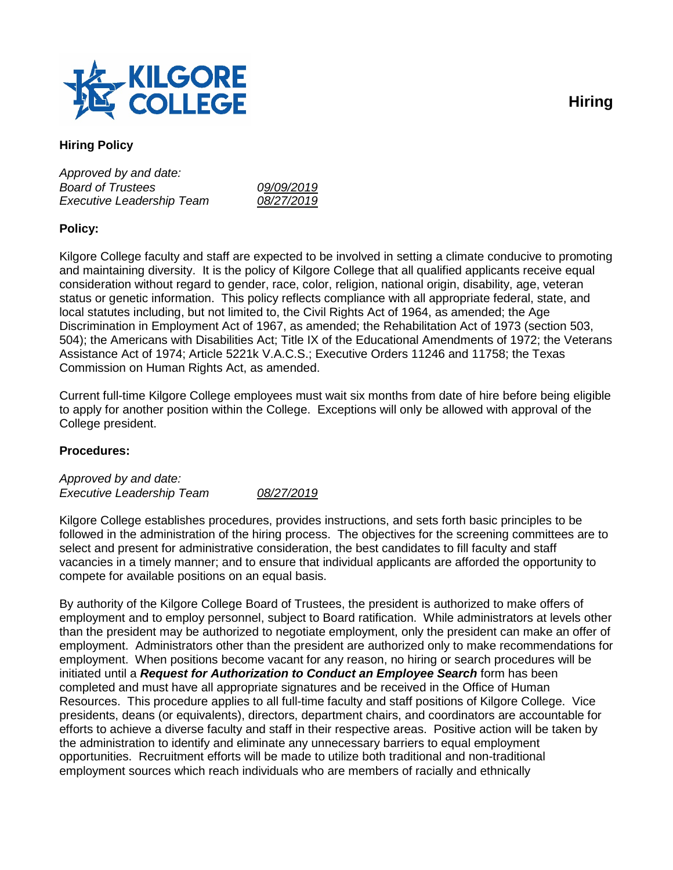

# **Hiring Policy**

*Approved by and date: Board of Trustees 09/09/2019 Executive Leadership Team 08/27/2019*

## **Policy:**

Kilgore College faculty and staff are expected to be involved in setting a climate conducive to promoting and maintaining diversity. It is the policy of Kilgore College that all qualified applicants receive equal consideration without regard to gender, race, color, religion, national origin, disability, age, veteran status or genetic information. This policy reflects compliance with all appropriate federal, state, and local statutes including, but not limited to, the Civil Rights Act of 1964, as amended; the Age Discrimination in Employment Act of 1967, as amended; the Rehabilitation Act of 1973 (section 503, 504); the Americans with Disabilities Act; Title IX of the Educational Amendments of 1972; the Veterans Assistance Act of 1974; Article 5221k V.A.C.S.; Executive Orders 11246 and 11758; the Texas Commission on Human Rights Act, as amended.

Current full-time Kilgore College employees must wait six months from date of hire before being eligible to apply for another position within the College. Exceptions will only be allowed with approval of the College president.

### **Procedures:**

*Approved by and date: Executive Leadership Team 08/27/2019*

Kilgore College establishes procedures, provides instructions, and sets forth basic principles to be followed in the administration of the hiring process. The objectives for the screening committees are to select and present for administrative consideration, the best candidates to fill faculty and staff vacancies in a timely manner; and to ensure that individual applicants are afforded the opportunity to compete for available positions on an equal basis.

By authority of the Kilgore College Board of Trustees, the president is authorized to make offers of employment and to employ personnel, subject to Board ratification. While administrators at levels other than the president may be authorized to negotiate employment, only the president can make an offer of employment. Administrators other than the president are authorized only to make recommendations for employment. When positions become vacant for any reason, no hiring or search procedures will be initiated until a *Request for Authorization to Conduct an Employee Search* form has been completed and must have all appropriate signatures and be received in the Office of Human Resources. This procedure applies to all full-time faculty and staff positions of Kilgore College. Vice presidents, deans (or equivalents), directors, department chairs, and coordinators are accountable for efforts to achieve a diverse faculty and staff in their respective areas. Positive action will be taken by the administration to identify and eliminate any unnecessary barriers to equal employment opportunities. Recruitment efforts will be made to utilize both traditional and non-traditional employment sources which reach individuals who are members of racially and ethnically

**Hiring**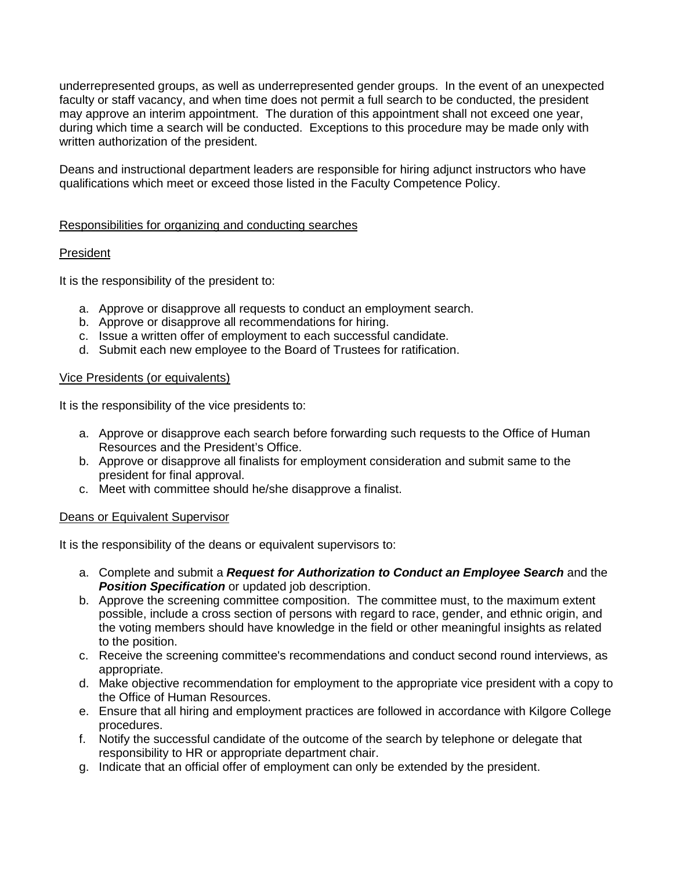underrepresented groups, as well as underrepresented gender groups. In the event of an unexpected faculty or staff vacancy, and when time does not permit a full search to be conducted, the president may approve an interim appointment. The duration of this appointment shall not exceed one year, during which time a search will be conducted. Exceptions to this procedure may be made only with written authorization of the president.

Deans and instructional department leaders are responsible for hiring adjunct instructors who have qualifications which meet or exceed those listed in the Faculty Competence Policy.

### Responsibilities for organizing and conducting searches

### President

It is the responsibility of the president to:

- a. Approve or disapprove all requests to conduct an employment search.
- b. Approve or disapprove all recommendations for hiring.
- c. Issue a written offer of employment to each successful candidate.
- d. Submit each new employee to the Board of Trustees for ratification.

#### Vice Presidents (or equivalents)

It is the responsibility of the vice presidents to:

- a. Approve or disapprove each search before forwarding such requests to the Office of Human Resources and the President's Office.
- b. Approve or disapprove all finalists for employment consideration and submit same to the president for final approval.
- c. Meet with committee should he/she disapprove a finalist.

### Deans or Equivalent Supervisor

It is the responsibility of the deans or equivalent supervisors to:

- a. Complete and submit a *Request for Authorization to Conduct an Employee Search* and the **Position Specification** or updated job description.
- b. Approve the screening committee composition. The committee must, to the maximum extent possible, include a cross section of persons with regard to race, gender, and ethnic origin, and the voting members should have knowledge in the field or other meaningful insights as related to the position.
- c. Receive the screening committee's recommendations and conduct second round interviews, as appropriate.
- d. Make objective recommendation for employment to the appropriate vice president with a copy to the Office of Human Resources.
- e. Ensure that all hiring and employment practices are followed in accordance with Kilgore College procedures.
- f. Notify the successful candidate of the outcome of the search by telephone or delegate that responsibility to HR or appropriate department chair.
- g. Indicate that an official offer of employment can only be extended by the president.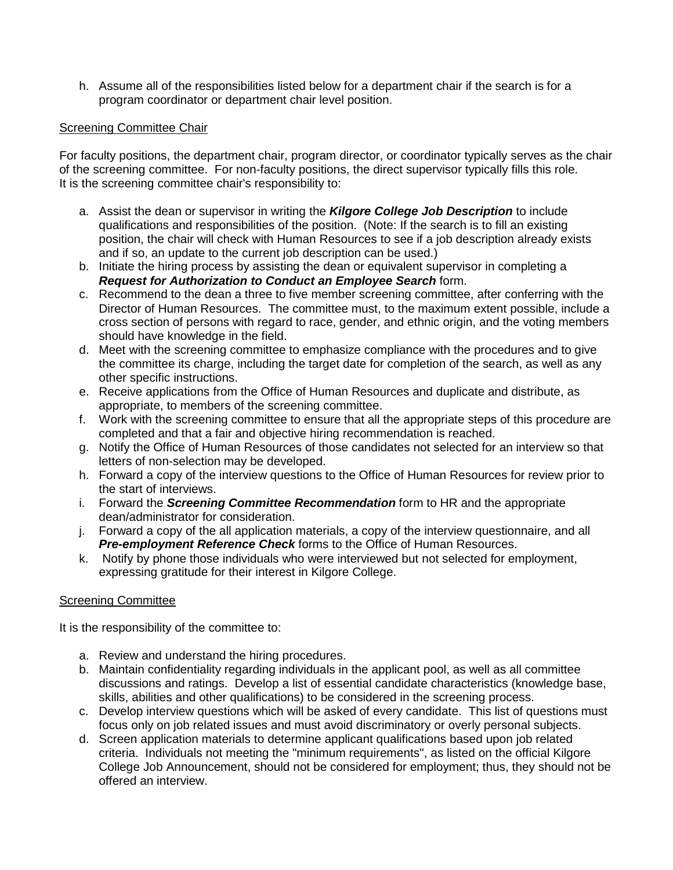h. Assume all of the responsibilities listed below for a department chair if the search is for a program coordinator or department chair level position.

#### Screening Committee Chair

For faculty positions, the department chair, program director, or coordinator typically serves as the chair of the screening committee. For non-faculty positions, the direct supervisor typically fills this role. It is the screening committee chair's responsibility to:

- a. Assist the dean or supervisor in writing the *Kilgore College Job Description* to include qualifications and responsibilities of the position. (Note: If the search is to fill an existing position, the chair will check with Human Resources to see if a job description already exists and if so, an update to the current job description can be used.)
- b. Initiate the hiring process by assisting the dean or equivalent supervisor in completing a *Request for Authorization to Conduct an Employee Search* form.
- c. Recommend to the dean a three to five member screening committee, after conferring with the Director of Human Resources. The committee must, to the maximum extent possible, include a cross section of persons with regard to race, gender, and ethnic origin, and the voting members should have knowledge in the field.
- d. Meet with the screening committee to emphasize compliance with the procedures and to give the committee its charge, including the target date for completion of the search, as well as any other specific instructions.
- e. Receive applications from the Office of Human Resources and duplicate and distribute, as appropriate, to members of the screening committee.
- f. Work with the screening committee to ensure that all the appropriate steps of this procedure are completed and that a fair and objective hiring recommendation is reached.
- g. Notify the Office of Human Resources of those candidates not selected for an interview so that letters of non-selection may be developed.
- h. Forward a copy of the interview questions to the Office of Human Resources for review prior to the start of interviews.
- i. Forward the *Screening Committee Recommendation* form to HR and the appropriate dean/administrator for consideration.
- j. Forward a copy of the all application materials, a copy of the interview questionnaire, and all *Pre-employment Reference Check* forms to the Office of Human Resources.
- k. Notify by phone those individuals who were interviewed but not selected for employment, expressing gratitude for their interest in Kilgore College.

### Screening Committee

It is the responsibility of the committee to:

- a. Review and understand the hiring procedures.
- b. Maintain confidentiality regarding individuals in the applicant pool, as well as all committee discussions and ratings. Develop a list of essential candidate characteristics (knowledge base, skills, abilities and other qualifications) to be considered in the screening process.
- c. Develop interview questions which will be asked of every candidate. This list of questions must focus only on job related issues and must avoid discriminatory or overly personal subjects.
- d. Screen application materials to determine applicant qualifications based upon job related criteria. Individuals not meeting the "minimum requirements", as listed on the official Kilgore College Job Announcement, should not be considered for employment; thus, they should not be offered an interview.